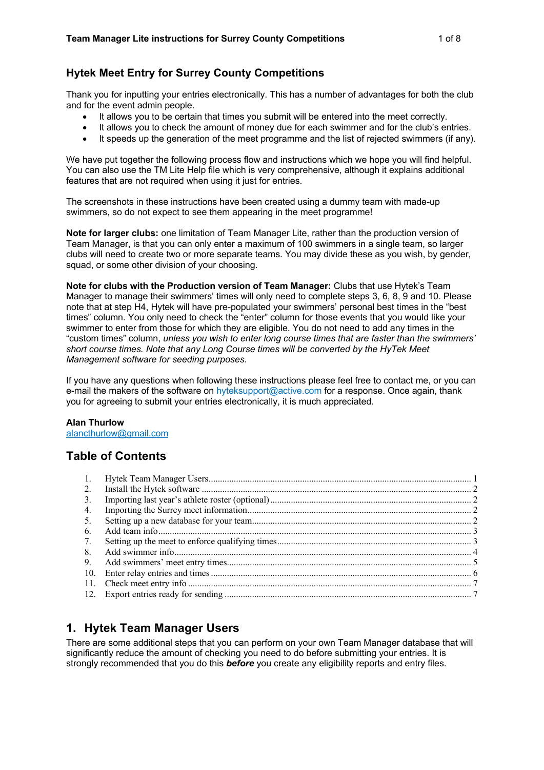#### **Hytek Meet Entry for Surrey County Competitions**

Thank you for inputting your entries electronically. This has a number of advantages for both the club and for the event admin people.

- It allows you to be certain that times you submit will be entered into the meet correctly.
- It allows you to check the amount of money due for each swimmer and for the club's entries.
- It speeds up the generation of the meet programme and the list of rejected swimmers (if any).

We have put together the following process flow and instructions which we hope you will find helpful. You can also use the TM Lite Help file which is very comprehensive, although it explains additional features that are not required when using it just for entries.

The screenshots in these instructions have been created using a dummy team with made-up swimmers, so do not expect to see them appearing in the meet programme!

**Note for larger clubs:** one limitation of Team Manager Lite, rather than the production version of Team Manager, is that you can only enter a maximum of 100 swimmers in a single team, so larger clubs will need to create two or more separate teams. You may divide these as you wish, by gender, squad, or some other division of your choosing.

**Note for clubs with the Production version of Team Manager:** Clubs that use Hytek's Team Manager to manage their swimmers' times will only need to complete steps 3, 6, 8, 9 and 10. Please note that at step H4, Hytek will have pre-populated your swimmers' personal best times in the "best times" column. You only need to check the "enter" column for those events that you would like your swimmer to enter from those for which they are eligible. You do not need to add any times in the "custom times" column, *unless you wish to enter long course times that are faster than the swimmers' short course times. Note that any Long Course times will be converted by the HyTek Meet Management software for seeding purposes.*

If you have any questions when following these instructions please feel free to contact me, or you can e-mail the makers of the software on hyteksupport@active.com for a response. Once again, thank you for agreeing to submit your entries electronically, it is much appreciated.

#### **Alan Thurlow**

alancthurlow@gmail.com

### **Table of Contents**

| 2.  |  |
|-----|--|
| 3.  |  |
| 4.  |  |
| 5.  |  |
| 6.  |  |
| 7.  |  |
| 8.  |  |
| 9.  |  |
| 10. |  |
|     |  |
|     |  |
|     |  |

# **1. Hytek Team Manager Users**

There are some additional steps that you can perform on your own Team Manager database that will significantly reduce the amount of checking you need to do before submitting your entries. It is strongly recommended that you do this *before* you create any eligibility reports and entry files.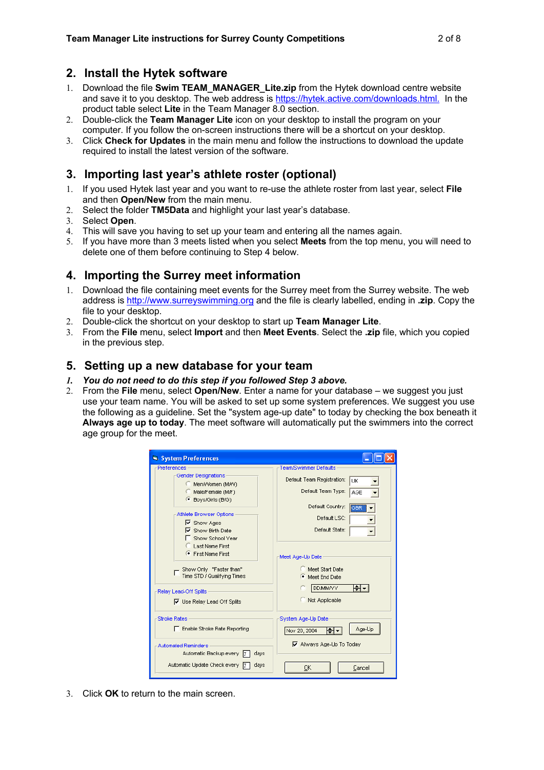### **2. Install the Hytek software**

- 1. Download the file **Swim TEAM\_MANAGER\_Lite.zip** from the Hytek download centre website and save it to you desktop. The web address is https://hytek.active.com/downloads.html. In the product table select **Lite** in the Team Manager 8.0 section.
- 2. Double-click the **Team Manager Lite** icon on your desktop to install the program on your computer. If you follow the on-screen instructions there will be a shortcut on your desktop.
- 3. Click **Check for Updates** in the main menu and follow the instructions to download the update required to install the latest version of the software.

## **3. Importing last year's athlete roster (optional)**

- 1. If you used Hytek last year and you want to re-use the athlete roster from last year, select **File** and then **Open/New** from the main menu.
- 2. Select the folder **TM5Data** and highlight your last year's database.
- 3. Select **Open**.
- 4. This will save you having to set up your team and entering all the names again.
- 5. If you have more than 3 meets listed when you select **Meets** from the top menu, you will need to delete one of them before continuing to Step 4 below.

# **4. Importing the Surrey meet information**

- 1. Download the file containing meet events for the Surrey meet from the Surrey website. The web address is http://www.surreyswimming.org and the file is clearly labelled, ending in **.zip**. Copy the file to your desktop.
- 2. Double-click the shortcut on your desktop to start up **Team Manager Lite**.
- 3. From the **File** menu, select **Import** and then **Meet Events**. Select the **.zip** file, which you copied in the previous step.

#### **5. Setting up a new database for your team**

- *1. You do not need to do this step if you followed Step 3 above.*
- 2. From the **File** menu, select **Open/New**. Enter a name for your database we suggest you just use your team name. You will be asked to set up some system preferences. We suggest you use the following as a guideline. Set the "system age-up date" to today by checking the box beneath it **Always age up to today**. The meet software will automatically put the swimmers into the correct age group for the meet.

| <b>System Preferences</b>                                                                                     |                                                                                               |
|---------------------------------------------------------------------------------------------------------------|-----------------------------------------------------------------------------------------------|
| Preferences<br>Gender Designations<br>Men/Women (M/W)<br>Male/Female (M/F)                                    | <b>Team/Swimmer Defaults</b><br>Default Team Registration:<br>UK<br>Default Team Type:<br>AGE |
| <b>E</b> Boys/Girls (B/G)<br>Athlete Browser Options<br>$\triangledown$ Show Ages<br>$\nabla$ Show Birth Date | Default Country:<br>GBR<br>Default LSC:<br>Default State:                                     |
| Show School Year<br>Last Name First<br>First Name First<br>Show Only "Faster than"                            | Meet Age-Up Date<br>Meet Start Date                                                           |
| Time STD / Qualifying Times<br>Relay Lead-Off Splits<br>$\nabla$ Use Relay Lead Off Splits                    | Meet End Date<br><b>DDMM/YY</b><br>H÷<br>Not Applicable                                       |
| <b>Stroke Rates</b><br>Enable Stroke Rate Reporting                                                           | System Age-Up Date<br>Age-Up<br>Nov 20, 2004                                                  |
| <b>Automated Reminders</b><br>Automatic Backup every 7<br>days                                                | Always Age-Up To Today                                                                        |
| Automatic Update Check every 7<br>days                                                                        | Cancel<br>OΚ                                                                                  |

3. Click **OK** to return to the main screen.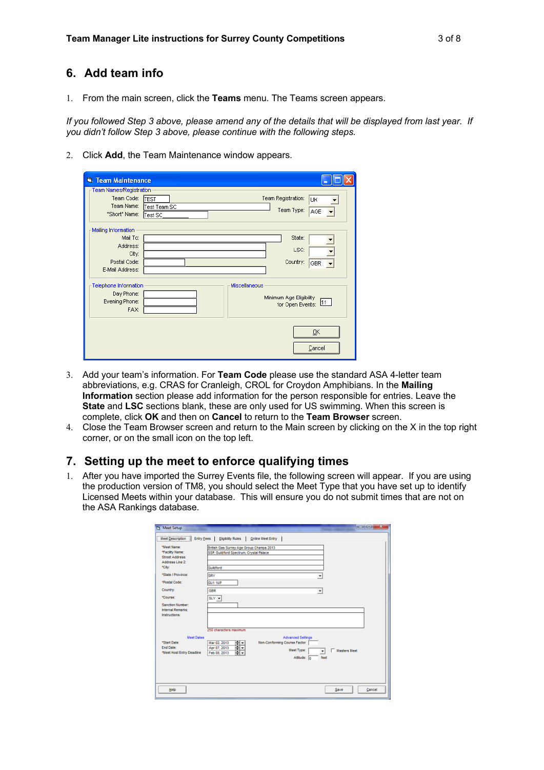#### **6. Add team info**

1. From the main screen, click the **Teams** menu. The Teams screen appears.

*If you followed Step 3 above, please amend any of the details that will be displayed from last year. If you didn't follow Step 3 above, please continue with the following steps.*

2. Click **Add**, the Team Maintenance window appears.

| <b>El Team Maintenance</b>                                                              |                             |               |                                                |              |
|-----------------------------------------------------------------------------------------|-----------------------------|---------------|------------------------------------------------|--------------|
| Team Names/Registration<br>Team Code:<br>Team Name:<br>"Short" Name: Test SC            | <b>TEST</b><br>Test Team SC |               | Team Registration:<br>Team Type:               | UK<br>AGE    |
| Mailing Information<br>Mail To:<br>Address:<br>City:<br>Postal Code:<br>E-Mail Address: |                             |               | State:<br>LSC:<br>Country:                     | GBR          |
| Telephone Information<br>Day Phone:<br>Evening Phone:<br>FAX:                           |                             | Miscellaneous | Minimum Age Eligibility<br>for Open Events: 11 |              |
|                                                                                         |                             |               |                                                | QK<br>Cancel |

- 3. Add your team's information. For **Team Code** please use the standard ASA 4-letter team abbreviations, e.g. CRAS for Cranleigh, CROL for Croydon Amphibians. In the **Mailing Information** section please add information for the person responsible for entries. Leave the **State** and **LSC** sections blank, these are only used for US swimming. When this screen is complete, click **OK** and then on **Cancel** to return to the **Team Browser** screen.
- 4. Close the Team Browser screen and return to the Main screen by clicking on the X in the top right corner, or on the small icon on the top left.

### **7. Setting up the meet to enforce qualifying times**

1. After you have imported the Surrey Events file, the following screen will appear. If you are using the production version of TM8, you should select the Meet Type that you have set up to identify Licensed Meets within your database. This will ensure you do not submit times that are not on the ASA Rankings database.

| <b>Ft</b> Meet Setup                                                                                                              | $\blacksquare$ $\blacksquare$ $\blacksquare$ $\blacksquare$ $\blacksquare$ $\blacksquare$ $\blacksquare$ $\blacksquare$ $\blacksquare$ $\blacksquare$ $\blacksquare$ $\blacksquare$ $\blacksquare$ $\blacksquare$ $\blacksquare$ $\blacksquare$ $\blacksquare$ $\blacksquare$ $\blacksquare$ $\blacksquare$ $\blacksquare$ $\blacksquare$ $\blacksquare$ $\blacksquare$ $\blacksquare$ $\blacksquare$ $\blacksquare$ $\blacksquare$ $\blacksquare$ $\blacksquare$ $\blacksquare$ $\blacks$ |
|-----------------------------------------------------------------------------------------------------------------------------------|--------------------------------------------------------------------------------------------------------------------------------------------------------------------------------------------------------------------------------------------------------------------------------------------------------------------------------------------------------------------------------------------------------------------------------------------------------------------------------------------|
| Meet Description                                                                                                                  | Entry Fees   Eligibility Rules<br>Online Meet Entry                                                                                                                                                                                                                                                                                                                                                                                                                                        |
| "Meet Name:<br>"Facility Name:<br>Street Address:<br>Address Line 2:<br>*City:<br>*State / Province:<br>*Postal Code:<br>Country: | British Gas Surrey Age Group Champs 2013<br>SSP, Guildford Spectrum, Crystal Palace<br>Guildford<br>SRY<br>٠<br><b>GUT TUP</b><br>GBR                                                                                                                                                                                                                                                                                                                                                      |
| *Course:<br>Sanction Number:<br>Internal Remarks:<br>Instructions:                                                                | ×<br>$SLY =$<br>250 characters maximum                                                                                                                                                                                                                                                                                                                                                                                                                                                     |
| <b>Meet Dates</b><br>*Start Date:<br>End Date:<br>*Meet Host Entry Deadline                                                       | <b>Advanced Settings</b><br>$\frac{1}{2}$<br>Non-Conforming Course Factor<br>Mar 02, 2013<br>Apr 07, 2013<br><b>Meet Type:</b><br>□ Masters Meet<br>$\cdot$<br>Feb 08, 2013<br>feet<br>Altitude: 0                                                                                                                                                                                                                                                                                         |
| Help                                                                                                                              | Cancel<br>Save                                                                                                                                                                                                                                                                                                                                                                                                                                                                             |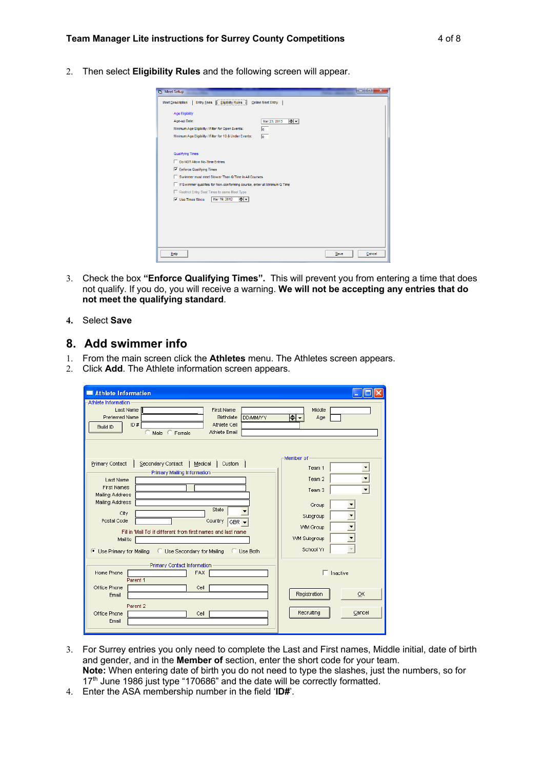2. Then select **Eligibility Rules** and the following screen will appear.

| <b>B</b> Meet Setup                                                                          |      | x<br>-9<br><b>CONTRACTOR</b> |
|----------------------------------------------------------------------------------------------|------|------------------------------|
| <b>Meet Description</b><br><b>Entry Fees</b><br><b>Eligibilty Rules</b><br>Online Meet Entry |      |                              |
| <b>Age Eligibility</b>                                                                       |      |                              |
| $\div$<br>Age-up Date:<br>Mar 23, 2013                                                       |      |                              |
| Minimum Age Eligibility / Filter for Open Events:<br>lo.                                     |      |                              |
| Minimum Age Eligibility / Filter for 10 & Under Events:<br>$\overline{0}$                    |      |                              |
|                                                                                              |      |                              |
| <b>Qualifying Times</b>                                                                      |      |                              |
| Do NOT Allow No-Time Entries                                                                 |      |                              |
| <b>V</b> Enforce Qualifying Times                                                            |      |                              |
| Swimmer must meet Slower Than Q Time in All Courses                                          |      |                              |
| □ If Swimmer qualifies for Non-conforming course, enter at Minimum Q Time                    |      |                              |
| Restrict Entry Best Times to same Meet Type                                                  |      |                              |
| ⊫⊫<br>$\overline{\mathsf{v}}$ Use Times Since<br>Mar 19, 2012                                |      |                              |
|                                                                                              |      |                              |
|                                                                                              |      |                              |
|                                                                                              |      |                              |
|                                                                                              |      |                              |
|                                                                                              |      |                              |
|                                                                                              |      |                              |
| Help                                                                                         | Save | Cancel                       |

- 3. Check the box **"Enforce Qualifying Times".** This will prevent you from entering a time that does not qualify. If you do, you will receive a warning. **We will not be accepting any entries that do not meet the qualifying standard**.
- **4.** Select **Save**

#### **8. Add swimmer info**

- 1. From the main screen click the **Athletes** menu. The Athletes screen appears.
- 2. Click **Add**. The Athlete information screen appears.

| Athlete Information                                                                                                                                                                                                                                                                                                                                                              |                                                                                                                          |
|----------------------------------------------------------------------------------------------------------------------------------------------------------------------------------------------------------------------------------------------------------------------------------------------------------------------------------------------------------------------------------|--------------------------------------------------------------------------------------------------------------------------|
| Athlete Information<br>Last Name<br><b>First Name</b><br><b>Preferred Name</b><br><b>Birthdate</b><br><b>DDMM/YY</b><br>ID#<br>Athlete Cell<br><b>Build ID</b><br>Athlete Email<br>Male<br>Female                                                                                                                                                                                | Middle<br>H∙<br>Age                                                                                                      |
| Primary Contact<br>Secondary Contact<br>Custom<br>Medical<br>н.<br>Primary Mailing Information<br>Last Name<br><b>First Names</b><br>Mailing Address<br>Mailing Address<br>State<br>City<br>Postal Code<br>Country<br>GBR -<br>Fill in 'Mail To' if different from first names and last name<br>Mail to<br>Use Secondary for Mailing<br>Use Primary for Mailing<br>Use Both<br>o | Member of<br>Team 1<br>Team 2<br>Team <sub>3</sub><br>Group<br>Subgroup<br><b>VWM Group</b><br>VVM Subgroup<br>School Yr |
| Primary Contact Information<br>Home Phone<br><b>FAX</b><br>Parent 1<br>Office Phone<br>Cell<br>Ernail<br>Parent 2<br>Office Phone<br>Cell<br>Ernail                                                                                                                                                                                                                              | Inactive<br>Registration<br>OK<br>Recruiting<br>Cancel                                                                   |

- 3. For Surrey entries you only need to complete the Last and First names, Middle initial, date of birth and gender, and in the **Member of** section, enter the short code for your team. **Note:** When entering date of birth you do not need to type the slashes, just the numbers, so for 17<sup>th</sup> June 1986 just type "170686" and the date will be correctly formatted.
- 4. Enter the ASA membership number in the field '**ID#**'.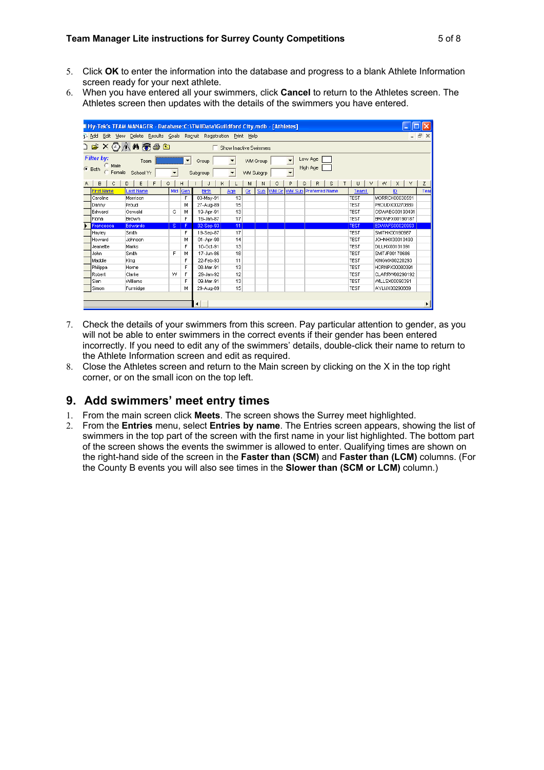- 5. Click **OK** to enter the information into the database and progress to a blank Athlete Information screen ready for your next athlete.
- 6. When you have entered all your swimmers, click **Cancel** to return to the Athletes screen. The Athletes screen then updates with the details of the swimmers you have entered.

|               | Hy-Tek's TEAM MANAGER - Database:C:\TMIIData\Guildford City.mdb - [Athletes]                                                                              |                  |                      |     |              |                        |    |                  |              |                          |          |                               |             |                 |      |
|---------------|-----------------------------------------------------------------------------------------------------------------------------------------------------------|------------------|----------------------|-----|--------------|------------------------|----|------------------|--------------|--------------------------|----------|-------------------------------|-------------|-----------------|------|
| <b>R</b> Add  | Delete Results Goals Recruit Registration Print Help<br>15<br>Edit<br>View<br>$\mathbf{x}$                                                                |                  |                      |     |              |                        |    |                  |              |                          |          |                               |             |                 |      |
|               |                                                                                                                                                           | D & X 4 M T & D  |                      |     |              | Show Inactive Swimmers |    |                  |              |                          |          |                               |             |                 |      |
|               | Filter by:<br>Low Age<br>$\overline{\phantom{a}}$<br>$\blacktriangledown$<br>▼<br>VWM Group<br>Team<br>Group<br>Male<br>High Age<br>$\sqrt{\bullet}$ Both |                  |                      |     |              |                        |    |                  |              |                          |          |                               |             |                 |      |
|               | Female                                                                                                                                                    | School Yr        | $\blacktriangledown$ |     | Subgroup     | $\blacktriangledown$   |    | <b>WM Subgrp</b> |              | $\overline{\phantom{a}}$ |          |                               |             |                 |      |
|               | $\mathbf{B}$<br>C                                                                                                                                         | E<br>D<br>F<br>G |                      | н   |              | κ                      | м  | Ν                | $\circ$      | P                        | $\Omega$ | R.<br>S.                      | v<br>U      | X<br>W<br>Y     | Z    |
|               | <b>First Name</b>                                                                                                                                         | Last Name        | Mid                  | Gen | <b>Birth</b> | Age                    | Gr | Sub              | <b>WM Gr</b> |                          |          | <b>VVM Sub Preferred Name</b> | Team1       | ID              | Teal |
|               | Caroline                                                                                                                                                  | Morrison         |                      | F   | 03-May-91    | 13                     |    |                  |              |                          |          |                               | <b>TEST</b> | MORRCX00030591  |      |
|               | Danny                                                                                                                                                     | Proud            |                      | м   | 27-Aug-89    | 15                     |    |                  |              |                          |          |                               | <b>TEST</b> | PROUDX00270889  |      |
|               | lEdward                                                                                                                                                   | Oswald           | G                    | М   | 19-Apr-91    | 13                     |    |                  |              |                          |          |                               | <b>TEST</b> | OSWAEG00190491  |      |
| <b>IFiona</b> |                                                                                                                                                           | Brown            |                      | F   | 19-Jan-87    | 17                     |    |                  |              |                          |          |                               | <b>TEST</b> | BROWFX00190187  |      |
|               | Francesca                                                                                                                                                 | <b>Edwards</b>   | iS.                  | F   | 02-Sep-93    | 11                     |    |                  |              |                          |          |                               | <b>TEST</b> | EDWAFS00020993  |      |
|               | <b>Havley</b>                                                                                                                                             | Smith            |                      | F   | 19-Sep-87    | 17                     |    |                  |              |                          |          |                               | <b>TEST</b> | SMITHX00190987  |      |
|               | Howard                                                                                                                                                    | Johnson          |                      | м   | 01-Apr-90    | 14                     |    |                  |              |                          |          |                               | <b>TEST</b> | JOHNHX00010490  |      |
|               | Jeanette                                                                                                                                                  | Marks            |                      | F   | 10-Oct-91    | 13                     |    |                  |              |                          |          |                               | <b>TEST</b> | DILLHX00101091  |      |
|               | John                                                                                                                                                      | Smith            | F                    | м   | 17-Jun-86    | 18                     |    |                  |              |                          |          |                               | <b>TEST</b> | SMITJF00170686  |      |
|               | Maddie                                                                                                                                                    | Kina             |                      | F   | 22-Feb-93    | 11                     |    |                  |              |                          |          |                               | <b>TEST</b> | KINGMX00220293  |      |
|               | Philippa                                                                                                                                                  | Horne            |                      | F   | 08-Mar-91    | 13                     |    |                  |              |                          |          |                               | <b>TEST</b> | HORNPX00080391  |      |
|               | Robert                                                                                                                                                    | Clarke           | w                    | F   | 29-Jan-92    | 12                     |    |                  |              |                          |          |                               | <b>TEST</b> | CLARRW00290192  |      |
| Sian          |                                                                                                                                                           | Williams         |                      | F   | 09-Mar-91    | 13                     |    |                  |              |                          |          |                               | <b>TEST</b> | VVILLSX00090391 |      |
|               | Simon                                                                                                                                                     | Furmidge         |                      | м   | 29-Aug-89    | 15                     |    |                  |              |                          |          |                               | <b>TEST</b> | AYLIJX00290889  |      |
|               |                                                                                                                                                           |                  |                      |     |              |                        |    |                  |              |                          |          |                               |             |                 |      |
|               |                                                                                                                                                           |                  |                      |     | ۰            |                        |    |                  |              |                          |          |                               |             |                 |      |

- 7. Check the details of your swimmers from this screen. Pay particular attention to gender, as you will not be able to enter swimmers in the correct events if their gender has been entered incorrectly. If you need to edit any of the swimmers' details, double-click their name to return to the Athlete Information screen and edit as required.
- 8. Close the Athletes screen and return to the Main screen by clicking on the X in the top right corner, or on the small icon on the top left.

#### **9. Add swimmers' meet entry times**

- 1. From the main screen click **Meets**. The screen shows the Surrey meet highlighted.
- 2. From the **Entries** menu, select **Entries by name**. The Entries screen appears, showing the list of swimmers in the top part of the screen with the first name in your list highlighted. The bottom part of the screen shows the events the swimmer is allowed to enter. Qualifying times are shown on the right-hand side of the screen in the **Faster than (SCM)** and **Faster than (LCM)** columns. (For the County B events you will also see times in the **Slower than (SCM or LCM)** column.)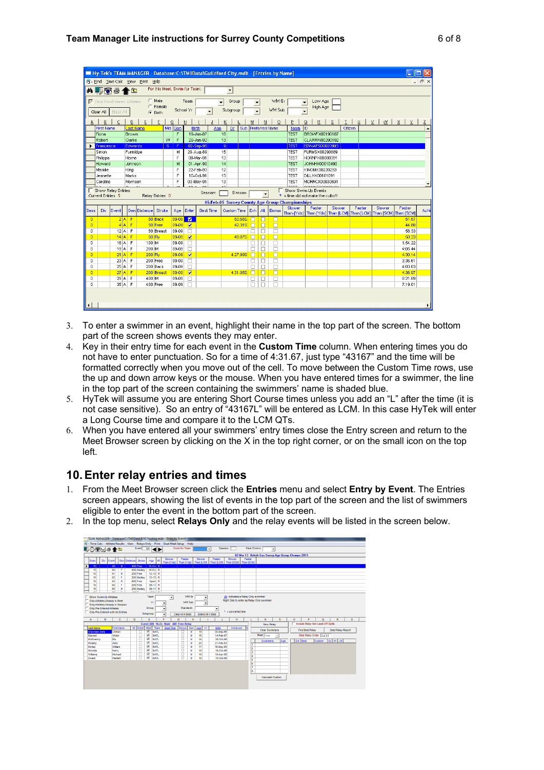|                         |                                                                                                                                                                                                                                                            |                      |                     | Hy-Tek's TEAM MANAGER - Database: C: \TMIIData\Guildford City.mdb - [Entries by Name] |                        |                   |                                   |                        |                  |                    |          |                  |                      |                       |                                                 |                                                                             |        |         |        |        |                    |                  |
|-------------------------|------------------------------------------------------------------------------------------------------------------------------------------------------------------------------------------------------------------------------------------------------------|----------------------|---------------------|---------------------------------------------------------------------------------------|------------------------|-------------------|-----------------------------------|------------------------|------------------|--------------------|----------|------------------|----------------------|-----------------------|-------------------------------------------------|-----------------------------------------------------------------------------|--------|---------|--------|--------|--------------------|------------------|
|                         | Fix Find Time Calc View Print Help                                                                                                                                                                                                                         |                      |                     |                                                                                       |                        |                   |                                   |                        |                  |                    |          | $ \Box$ $\times$ |                      |                       |                                                 |                                                                             |        |         |        |        |                    |                  |
|                         | For this Meet, Swim for Team:<br>M–––––◎●←白<br>$\overline{\phantom{a}}$                                                                                                                                                                                    |                      |                     |                                                                                       |                        |                   |                                   |                        |                  |                    |          |                  |                      |                       |                                                 |                                                                             |        |         |        |        |                    |                  |
|                         | C Male<br>WM Gr<br>Low Age<br>□ Only Pre-Entered Athletes<br>Team<br>Group<br>$\overline{\phantom{a}}$<br>$\blacktriangledown$<br>$\blacktriangledown$                                                                                                     |                      |                     |                                                                                       |                        |                   |                                   |                        |                  |                    |          |                  |                      |                       |                                                 |                                                                             |        |         |        |        |                    |                  |
|                         | C Female<br>High Age<br>WM Sub<br>School Yr<br>Subgroup<br>$\blacktriangledown$<br>Clear All Enter All<br>$C$ Both                                                                                                                                         |                      |                     |                                                                                       |                        |                   |                                   |                        |                  |                    |          |                  |                      |                       |                                                 |                                                                             |        |         |        |        |                    |                  |
| А                       | E<br>E<br>U<br>$\times$ 1<br>X<br>Đ<br>D<br>$\Omega$<br>H<br>K<br>N<br>$\Omega$<br>Q<br>R<br>$\mathsf{S}% _{T}=\mathsf{S}_{T}\!\left( a,b\right) ,\mathsf{S}_{T}=\mathsf{S}_{T}\!\left( a,b\right) ,$<br>T<br>$\mathbf{w}$<br>$\times$<br>C<br>м<br>$\leq$ |                      |                     |                                                                                       |                        |                   |                                   |                        |                  |                    |          |                  |                      |                       |                                                 |                                                                             |        |         |        |        |                    |                  |
|                         | <b>First Name</b>                                                                                                                                                                                                                                          |                      |                     | ast Name                                                                              | Mid                    | Gen               |                                   | <b>Birth</b>           | Age              | Gr                 | Sub      |                  |                      | <b>Preferred Name</b> | Team                                            | IID                                                                         |        | Citizen |        |        |                    | $\blacktriangle$ |
|                         | Fiona                                                                                                                                                                                                                                                      |                      | Brown               |                                                                                       |                        | F                 |                                   | 19-Jan-87              |                  | 18                 |          |                  |                      |                       | <b>TEST</b>                                     | <b>BROWFX00190187</b>                                                       |        |         |        |        |                    |                  |
|                         | Robert                                                                                                                                                                                                                                                     |                      | Clarke              |                                                                                       | w                      | $\overline{F}$    |                                   | 29-Jan-92              |                  | 13                 |          |                  |                      |                       | <b>TEST</b>                                     | CLARRW00290192                                                              |        |         |        |        |                    |                  |
|                         | Francesca<br>Simon                                                                                                                                                                                                                                         |                      | Edwards<br>Furmidge |                                                                                       | S.                     | -F                |                                   | 02-Sep-95<br>29-Aug-89 |                  | -91<br>15          |          |                  |                      |                       | <b>TEST</b><br><b>TEST</b>                      | <b>EDWAFS00020993</b><br>FURMSX00290889                                     |        |         |        |        |                    |                  |
|                         | Philippa                                                                                                                                                                                                                                                   |                      | Horne               |                                                                                       |                        | м<br>$\mathsf{F}$ |                                   | 08-Mar-91              |                  | 13                 |          |                  |                      |                       | <b>TEST</b>                                     | HORNPX00080391                                                              |        |         |        |        |                    |                  |
|                         | Howard                                                                                                                                                                                                                                                     |                      | Johnson             |                                                                                       |                        | M                 |                                   | 01-Apr-90              |                  | 14                 |          |                  |                      |                       | <b>TEST</b>                                     | JOHNHX00010490                                                              |        |         |        |        |                    |                  |
|                         | Maddie                                                                                                                                                                                                                                                     |                      | King                |                                                                                       |                        | F                 |                                   | 22-Feb-93              |                  | 12                 |          |                  |                      |                       | <b>TEST</b>                                     | KINGMX00220293                                                              |        |         |        |        |                    |                  |
|                         | Jeanette                                                                                                                                                                                                                                                   |                      | Marks               |                                                                                       |                        | F                 |                                   | 10-Oct-91              |                  | 13                 |          |                  |                      |                       | <b>TEST</b>                                     | DILLHX00101091                                                              |        |         |        |        |                    |                  |
|                         | Caroline                                                                                                                                                                                                                                                   |                      | Morrison            |                                                                                       |                        | F                 |                                   | 03-May-91              |                  | 13                 |          |                  |                      |                       | TEST                                            | MORRCX00030591                                                              |        |         |        |        |                    |                  |
|                         |                                                                                                                                                                                                                                                            | Show Relay Entries   |                     |                                                                                       |                        |                   |                                   |                        |                  |                    |          |                  |                      |                       |                                                 | Show Swim-Up Events                                                         |        |         |        |        |                    |                  |
|                         | <b>Current Entries 5</b>                                                                                                                                                                                                                                   |                      |                     |                                                                                       | Relay Entries 0        |                   |                                   |                        | Session:         |                    | Division |                  | $\blacktriangledown$ |                       |                                                 | $*$ = time did not make the cuttoff.                                        |        |         |        |        |                    |                  |
|                         |                                                                                                                                                                                                                                                            |                      |                     |                                                                                       |                        |                   |                                   |                        |                  |                    |          |                  |                      |                       | 05-Feb-05 Surrey County Age Group Championships |                                                                             |        |         |        |        |                    |                  |
| Sess                    | Div                                                                                                                                                                                                                                                        | Event                |                     | Gen Distance                                                                          | Stroke                 | Age               | Enter                             |                        | <b>Best Time</b> | <b>Custom Time</b> |          | Exh.             | Alt                  | <b>Bonus</b>          | Slower                                          | Faster<br>Than-[Yds] Than [Yds] Than [LCM] Than [LCM] Than [SCM] Than [SCM] | Slower |         | Faster | Slower | Faster             | Achi             |
| $\overline{0}$          |                                                                                                                                                                                                                                                            |                      | 2 A F               |                                                                                       | 50 Back                | $09-09$           | $\blacksquare$                    |                        |                  |                    | 50.56S   | n                | п                    | п                     |                                                 |                                                                             |        |         |        |        | 51.57              |                  |
| $\overline{0}$          |                                                                                                                                                                                                                                                            |                      | $4A$ F              |                                                                                       | 50 Free                | $09-09$           | $\blacksquare$                    |                        |                  |                    | 42.31S   | $\Box$           | $\Box$               | $\Box$                |                                                 |                                                                             |        |         |        |        | 44.88              |                  |
| $\circ$                 |                                                                                                                                                                                                                                                            | $12$ A F             |                     |                                                                                       | 50 Breast              | 09-09             | $\Box$                            |                        |                  |                    |          | □                | □                    | $\Box$                |                                                 |                                                                             |        |         |        |        | 58.33              |                  |
| $\overline{0}$          |                                                                                                                                                                                                                                                            | $14$ A F             |                     | 50 Fly                                                                                |                        | $09-09$           | $\blacksquare$                    |                        |                  |                    | 49.87S   | п                | п                    | п                     |                                                 |                                                                             |        |         |        |        | 50.23              |                  |
| $\mathbf 0$             |                                                                                                                                                                                                                                                            | $16$ A F             |                     | 100 IM                                                                                |                        | 09-09             | $\Box$                            |                        |                  |                    |          | □                | □                    | $\Box$                |                                                 |                                                                             |        |         |        |        | 1:54.22            |                  |
| $\mathbf 0$             |                                                                                                                                                                                                                                                            | $19A$ F              |                     | 200 IM                                                                                |                        | 09-09             | $\Box$                            |                        |                  |                    |          |                  | □                    | $\Box$                |                                                 |                                                                             |        |         |        |        | 4:05.44            |                  |
| $\overline{0}$          |                                                                                                                                                                                                                                                            | $21$ A F             |                     | 200 Fly                                                                               |                        | $09-09$           | $\blacksquare$                    |                        |                  |                    | 4:27.99S | п                | n                    | n                     |                                                 |                                                                             |        |         |        |        | 4:30.14            |                  |
| $\mathbf 0$<br>$\Omega$ |                                                                                                                                                                                                                                                            | 23 A F               |                     |                                                                                       | 200 Free               | 09-09             | п                                 |                        |                  |                    |          | □                | □                    | $\Box$                |                                                 |                                                                             |        |         |        |        | 3:36.61            |                  |
| $\overline{0}$          |                                                                                                                                                                                                                                                            | 25  A  F<br>27  A  F |                     |                                                                                       | 200 Back<br>200 Breast | 09-09<br>09-09    | $\Box$<br>$\overline{\mathbf{v}}$ |                        |                  |                    | 4:31.95S | □<br>П           | $\Box$<br>п          | $\Box$<br>$\Box$      |                                                 |                                                                             |        |         |        |        | 4:03.63<br>4:36.97 |                  |
| $\mathbf{0}$            |                                                                                                                                                                                                                                                            | $29$ $A$ $F$         |                     | 400 IM                                                                                |                        | 09-09             | □                                 |                        |                  |                    |          | ப                | □                    | □                     |                                                 |                                                                             |        |         |        |        | 8:21.89            |                  |
| $\Omega$                |                                                                                                                                                                                                                                                            | 35 A F               |                     |                                                                                       | 400 Free               | 09-09             | п                                 |                        |                  |                    |          | $\Box$           | П                    | П                     |                                                 |                                                                             |        |         |        |        | 7:19.01            |                  |
|                         |                                                                                                                                                                                                                                                            |                      |                     |                                                                                       |                        |                   |                                   |                        |                  |                    |          |                  |                      |                       |                                                 |                                                                             |        |         |        |        |                    |                  |
|                         |                                                                                                                                                                                                                                                            |                      |                     |                                                                                       |                        |                   |                                   |                        |                  |                    |          |                  |                      |                       |                                                 |                                                                             |        |         |        |        |                    |                  |

- 3. To enter a swimmer in an event, highlight their name in the top part of the screen. The bottom part of the screen shows events they may enter.
- 4. Key in their entry time for each event in the **Custom Time** column. When entering times you do not have to enter punctuation. So for a time of 4:31.67, just type "43167" and the time will be formatted correctly when you move out of the cell. To move between the Custom Time rows, use the up and down arrow keys or the mouse. When you have entered times for a swimmer, the line in the top part of the screen containing the swimmers' name is shaded blue.
- 5. HyTek will assume you are entering Short Course times unless you add an "L" after the time (it is not case sensitive). So an entry of "43167L" will be entered as LCM. In this case HyTek will enter a Long Course time and compare it to the LCM QTs.
- 6. When you have entered all your swimmers' entry times close the Entry screen and return to the Meet Browser screen by clicking on the X in the top right corner, or on the small icon on the top left.

### **10.Enter relay entries and times**

1. From the Meet Browser screen click the **Entries** menu and select **Entry by Event**. The Entries screen appears, showing the list of events in the top part of the screen and the list of swimmers eligible to enter the event in the bottom part of the screen.



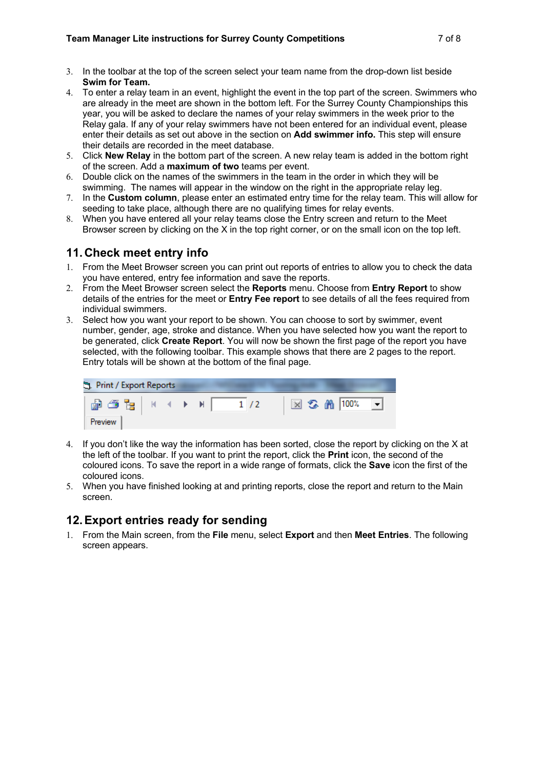- 3. In the toolbar at the top of the screen select your team name from the drop-down list beside **Swim for Team.**
- 4. To enter a relay team in an event, highlight the event in the top part of the screen. Swimmers who are already in the meet are shown in the bottom left. For the Surrey County Championships this year, you will be asked to declare the names of your relay swimmers in the week prior to the Relay gala. If any of your relay swimmers have not been entered for an individual event, please enter their details as set out above in the section on **Add swimmer info.** This step will ensure their details are recorded in the meet database.
- 5. Click **New Relay** in the bottom part of the screen. A new relay team is added in the bottom right of the screen. Add a **maximum of two** teams per event.
- 6. Double click on the names of the swimmers in the team in the order in which they will be swimming. The names will appear in the window on the right in the appropriate relay leg.
- 7. In the **Custom column**, please enter an estimated entry time for the relay team. This will allow for seeding to take place, although there are no qualifying times for relay events.
- 8. When you have entered all your relay teams close the Entry screen and return to the Meet Browser screen by clicking on the X in the top right corner, or on the small icon on the top left.

#### **11.Check meet entry info**

- 1. From the Meet Browser screen you can print out reports of entries to allow you to check the data you have entered, entry fee information and save the reports.
- 2. From the Meet Browser screen select the **Reports** menu. Choose from **Entry Report** to show details of the entries for the meet or **Entry Fee report** to see details of all the fees required from individual swimmers.
- 3. Select how you want your report to be shown. You can choose to sort by swimmer, event number, gender, age, stroke and distance. When you have selected how you want the report to be generated, click **Create Report**. You will now be shown the first page of the report you have selected, with the following toolbar. This example shows that there are 2 pages to the report. Entry totals will be shown at the bottom of the final page.

| Print / Export Reports |  |  |                                    |
|------------------------|--|--|------------------------------------|
|                        |  |  | 図 ‰ 角 100%<br>$\blacktriangledown$ |
| Preview                |  |  |                                    |

- 4. If you don't like the way the information has been sorted, close the report by clicking on the X at the left of the toolbar. If you want to print the report, click the **Print** icon, the second of the coloured icons. To save the report in a wide range of formats, click the **Save** icon the first of the coloured icons.
- 5. When you have finished looking at and printing reports, close the report and return to the Main screen.

### **12.Export entries ready for sending**

1. From the Main screen, from the **File** menu, select **Export** and then **Meet Entries**. The following screen appears.